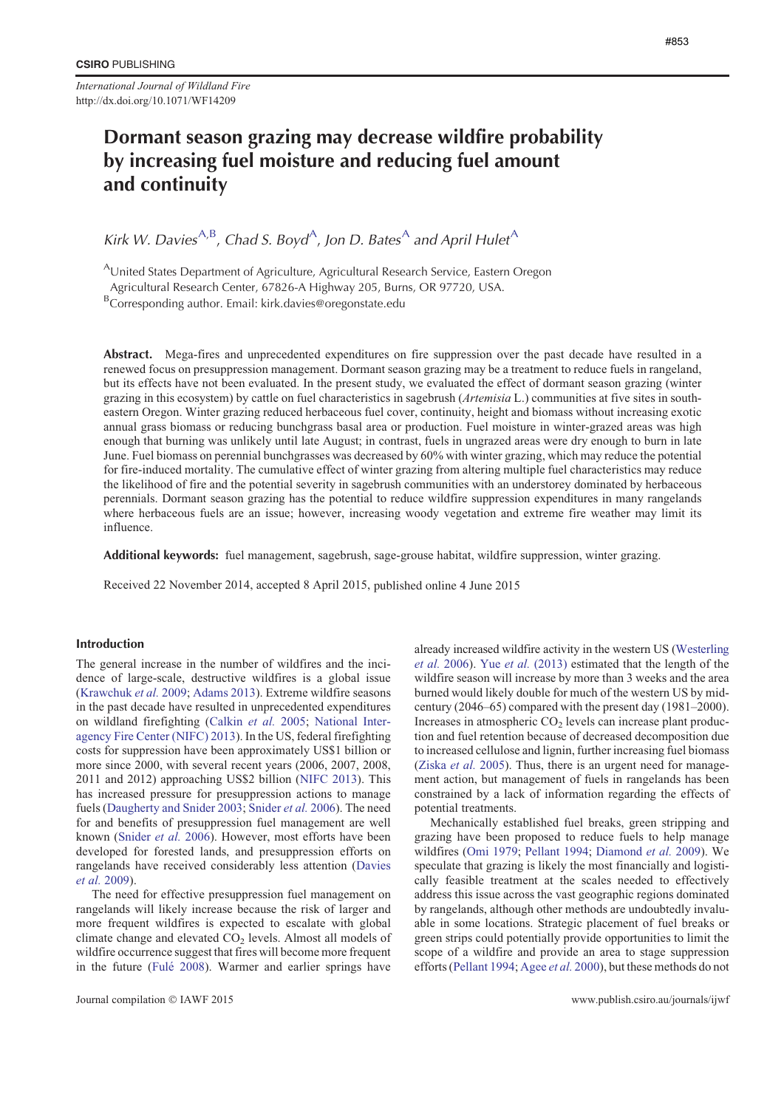*International Journal of Wildland Fire* http://dx.doi.org/10.1071/WF14209

# Dormant season grazing may decrease wildfire probability by increasing fuel moisture and reducing fuel amount and continuity

Kirk W. Davies<sup>A,B</sup>, Chad S. Boyd<sup>A</sup>, Jon D. Bates<sup>A</sup> and April Hulet<sup>A</sup>

AUnited States Department of Agriculture, Agricultural Research Service, Eastern Oregon

Agricultural Research Center, 67826-A Highway 205, Burns, OR 97720, USA.

<sup>B</sup>Corresponding author. Email: kirk.davies@oregonstate.edu

Abstract. Mega-fires and unprecedented expenditures on fire suppression over the past decade have resulted in a renewed focus on presuppression management. Dormant season grazing may be a treatment to reduce fuels in rangeland, but its effects have not been evaluated. In the present study, we evaluated the effect of dormant season grazing (winter grazing in this ecosystem) by cattle on fuel characteristics in sagebrush (*Artemisia* L.) communities at five sites in southeastern Oregon. Winter grazing reduced herbaceous fuel cover, continuity, height and biomass without increasing exotic annual grass biomass or reducing bunchgrass basal area or production. Fuel moisture in winter-grazed areas was high enough that burning was unlikely until late August; in contrast, fuels in ungrazed areas were dry enough to burn in late June. Fuel biomass on perennial bunchgrasses was decreased by 60% with winter grazing, which may reduce the potential for fire-induced mortality. The cumulative effect of winter grazing from altering multiple fuel characteristics may reduce the likelihood of fire and the potential severity in sagebrush communities with an understorey dominated by herbaceous perennials. Dormant season grazing has the potential to reduce wildfire suppression expenditures in many rangelands where herbaceous fuels are an issue; however, increasing woody vegetation and extreme fire weather may limit its influence.

Additional keywords: fuel management, sagebrush, sage-grouse habitat, wildfire suppression, winter grazing.

Received 22 November 2014, accepted 8 April 2015, published online 4 June 2015

# Introduction

The general increase in the number of wildfires and the incidence of large-scale, destructive wildfires is a global issue ([Krawchuk](#page-6-0) *et al.* 2009; [Adams 2013](#page-5-0)). Extreme wildfire seasons in the past decade have resulted in unprecedented expenditures on wildland firefighting [\(Calkin](#page-6-0) *et al.* 2005; [National Inter](#page-7-0)[agency Fire Center \(NIFC\) 2013](#page-7-0)). In the US, federal firefighting costs for suppression have been approximately US\$1 billion or more since 2000, with several recent years (2006, 2007, 2008, 2011 and 2012) approaching US\$2 billion ([NIFC 2013](#page-7-0)). This has increased pressure for presuppression actions to manage fuels [\(Daugherty and Snider 2003](#page-6-0); [Snider](#page-7-0) *et al.* 2006). The need for and benefits of presuppression fuel management are well known ([Snider](#page-7-0) *et al.* 2006). However, most efforts have been developed for forested lands, and presuppression efforts on rangelands have received considerably less attention ([Davies](#page-6-0) *[et al.](#page-6-0)* 2009).

The need for effective presuppression fuel management on rangelands will likely increase because the risk of larger and more frequent wildfires is expected to escalate with global climate change and elevated  $CO<sub>2</sub>$  levels. Almost all models of wildfire occurrence suggest that fires will become more frequent in the future (Fulé 2008). Warmer and earlier springs have

already increased wildfire activity in the western US [\(Westerling](#page-7-0) *[et al.](#page-7-0)* 2006). Yue *et al.* [\(2013\)](#page-7-0) estimated that the length of the wildfire season will increase by more than 3 weeks and the area burned would likely double for much of the western US by midcentury (2046–65) compared with the present day (1981–2000). Increases in atmospheric  $CO<sub>2</sub>$  levels can increase plant production and fuel retention because of decreased decomposition due to increased cellulose and lignin, further increasing fuel biomass ([Ziska](#page-7-0) *et al.* 2005). Thus, there is an urgent need for management action, but management of fuels in rangelands has been constrained by a lack of information regarding the effects of potential treatments.

Mechanically established fuel breaks, green stripping and grazing have been proposed to reduce fuels to help manage wildfires ([Omi 1979](#page-7-0); [Pellant 1994](#page-7-0); [Diamond](#page-6-0) *et al.* 2009). We speculate that grazing is likely the most financially and logistically feasible treatment at the scales needed to effectively address this issue across the vast geographic regions dominated by rangelands, although other methods are undoubtedly invaluable in some locations. Strategic placement of fuel breaks or green strips could potentially provide opportunities to limit the scope of a wildfire and provide an area to stage suppression efforts [\(Pellant 1994](#page-7-0); [Agee](#page-5-0) *et al.* 2000), but these methods do not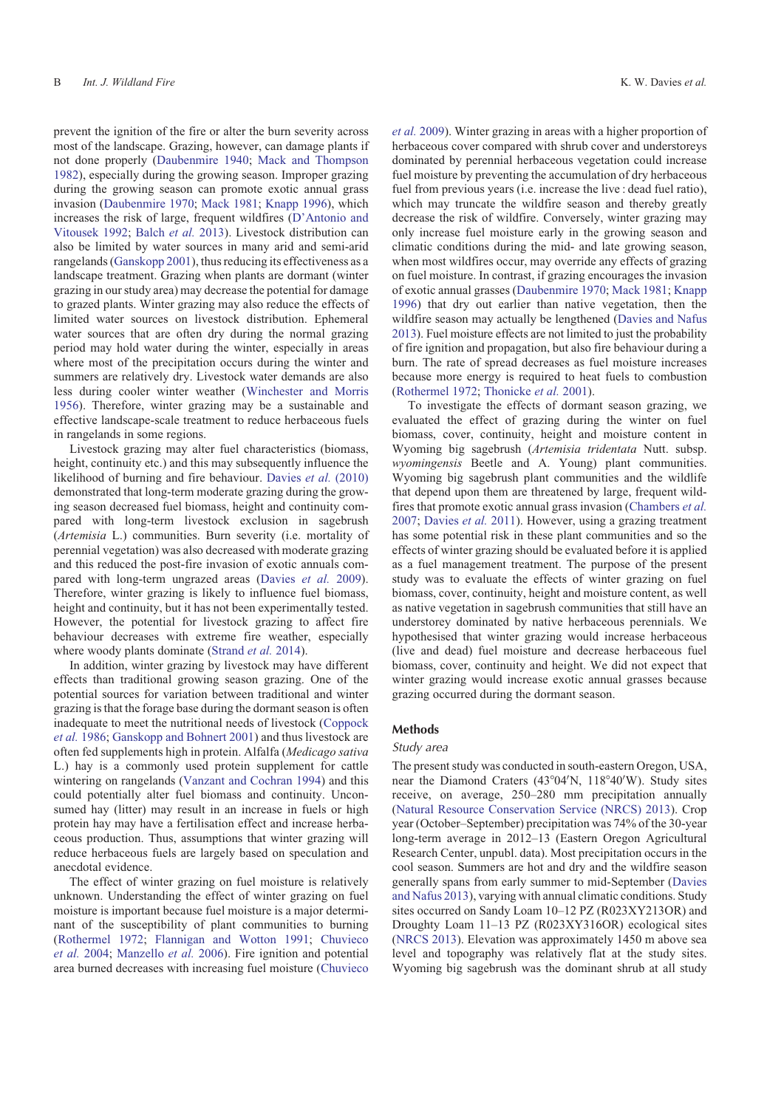prevent the ignition of the fire or alter the burn severity across most of the landscape. Grazing, however, can damage plants if not done properly [\(Daubenmire 1940](#page-6-0); [Mack and Thompson](#page-6-0) [1982\)](#page-6-0), especially during the growing season. Improper grazing during the growing season can promote exotic annual grass invasion ([Daubenmire 1970](#page-6-0); [Mack 1981](#page-6-0); [Knapp 1996](#page-6-0)), which increases the risk of large, frequent wildfires ([D'Antonio and](#page-6-0) [Vitousek 1992](#page-6-0); [Balch](#page-5-0) *et al.* 2013). Livestock distribution can also be limited by water sources in many arid and semi-arid rangelands ([Ganskopp 2001](#page-6-0)), thus reducing its effectiveness as a landscape treatment. Grazing when plants are dormant (winter grazing in our study area) may decrease the potential for damage to grazed plants. Winter grazing may also reduce the effects of limited water sources on livestock distribution. Ephemeral water sources that are often dry during the normal grazing period may hold water during the winter, especially in areas where most of the precipitation occurs during the winter and summers are relatively dry. Livestock water demands are also less during cooler winter weather ([Winchester and Morris](#page-7-0) [1956\)](#page-7-0). Therefore, winter grazing may be a sustainable and effective landscape-scale treatment to reduce herbaceous fuels in rangelands in some regions.

Livestock grazing may alter fuel characteristics (biomass, height, continuity etc.) and this may subsequently influence the likelihood of burning and fire behaviour. [Davies](#page-6-0) *et al.* (2010) demonstrated that long-term moderate grazing during the growing season decreased fuel biomass, height and continuity compared with long-term livestock exclusion in sagebrush (*Artemisia* L.) communities. Burn severity (i.e. mortality of perennial vegetation) was also decreased with moderate grazing and this reduced the post-fire invasion of exotic annuals compared with long-term ungrazed areas ([Davies](#page-6-0) *et al.* 2009). Therefore, winter grazing is likely to influence fuel biomass, height and continuity, but it has not been experimentally tested. However, the potential for livestock grazing to affect fire behaviour decreases with extreme fire weather, especially where woody plants dominate ([Strand](#page-7-0) *et al.* 2014).

In addition, winter grazing by livestock may have different effects than traditional growing season grazing. One of the potential sources for variation between traditional and winter grazing is that the forage base during the dormant season is often inadequate to meet the nutritional needs of livestock ([Coppock](#page-6-0) *et al.* [1986;](#page-6-0) [Ganskopp and Bohnert 2001](#page-6-0)) and thus livestock are often fed supplements high in protein. Alfalfa (*Medicago sativa* L.) hay is a commonly used protein supplement for cattle wintering on rangelands [\(Vanzant and Cochran 1994\)](#page-7-0) and this could potentially alter fuel biomass and continuity. Unconsumed hay (litter) may result in an increase in fuels or high protein hay may have a fertilisation effect and increase herbaceous production. Thus, assumptions that winter grazing will reduce herbaceous fuels are largely based on speculation and anecdotal evidence.

The effect of winter grazing on fuel moisture is relatively unknown. Understanding the effect of winter grazing on fuel moisture is important because fuel moisture is a major determinant of the susceptibility of plant communities to burning ([Rothermel 1972](#page-7-0); [Flannigan and Wotton 1991;](#page-6-0) [Chuvieco](#page-6-0) *[et al.](#page-6-0)* 2004; [Manzello](#page-6-0) *et al.* 2006). Fire ignition and potential area burned decreases with increasing fuel moisture ([Chuvieco](#page-6-0)

*et al.* [2009\)](#page-6-0). Winter grazing in areas with a higher proportion of herbaceous cover compared with shrub cover and understoreys dominated by perennial herbaceous vegetation could increase fuel moisture by preventing the accumulation of dry herbaceous fuel from previous years (i.e. increase the live : dead fuel ratio), which may truncate the wildfire season and thereby greatly decrease the risk of wildfire. Conversely, winter grazing may only increase fuel moisture early in the growing season and climatic conditions during the mid- and late growing season, when most wildfires occur, may override any effects of grazing on fuel moisture. In contrast, if grazing encourages the invasion of exotic annual grasses [\(Daubenmire 1970](#page-6-0); [Mack 1981](#page-6-0); [Knapp](#page-6-0) [1996\)](#page-6-0) that dry out earlier than native vegetation, then the wildfire season may actually be lengthened [\(Davies and Nafus](#page-6-0) [2013](#page-6-0)). Fuel moisture effects are not limited to just the probability of fire ignition and propagation, but also fire behaviour during a burn. The rate of spread decreases as fuel moisture increases because more energy is required to heat fuels to combustion [\(Rothermel 1972](#page-7-0); [Thonicke](#page-7-0) *et al.* 2001).

To investigate the effects of dormant season grazing, we evaluated the effect of grazing during the winter on fuel biomass, cover, continuity, height and moisture content in Wyoming big sagebrush (*Artemisia tridentata* Nutt. subsp. *wyomingensis* Beetle and A. Young) plant communities. Wyoming big sagebrush plant communities and the wildlife that depend upon them are threatened by large, frequent wildfires that promote exotic annual grass invasion ([Chambers](#page-6-0) *et al.* [2007;](#page-6-0) [Davies](#page-6-0) *et al.* 2011). However, using a grazing treatment has some potential risk in these plant communities and so the effects of winter grazing should be evaluated before it is applied as a fuel management treatment. The purpose of the present study was to evaluate the effects of winter grazing on fuel biomass, cover, continuity, height and moisture content, as well as native vegetation in sagebrush communities that still have an understorey dominated by native herbaceous perennials. We hypothesised that winter grazing would increase herbaceous (live and dead) fuel moisture and decrease herbaceous fuel biomass, cover, continuity and height. We did not expect that winter grazing would increase exotic annual grasses because grazing occurred during the dormant season.

# Methods

# Study area

The present study was conducted in south-eastern Oregon, USA, near the Diamond Craters (43°04'N, 118°40'W). Study sites receive, on average, 250–280 mm precipitation annually [\(Natural Resource Conservation Service \(NRCS\) 2013](#page-7-0)). Crop year (October–September) precipitation was 74% of the 30-year long-term average in 2012–13 (Eastern Oregon Agricultural Research Center, unpubl. data). Most precipitation occurs in the cool season. Summers are hot and dry and the wildfire season generally spans from early summer to mid-September ([Davies](#page-6-0) [and Nafus 2013](#page-6-0)), varying with annual climatic conditions. Study sites occurred on Sandy Loam 10–12 PZ (R023XY213OR) and Droughty Loam 11–13 PZ (R023XY316OR) ecological sites [\(NRCS 2013](#page-7-0)). Elevation was approximately 1450 m above sea level and topography was relatively flat at the study sites. Wyoming big sagebrush was the dominant shrub at all study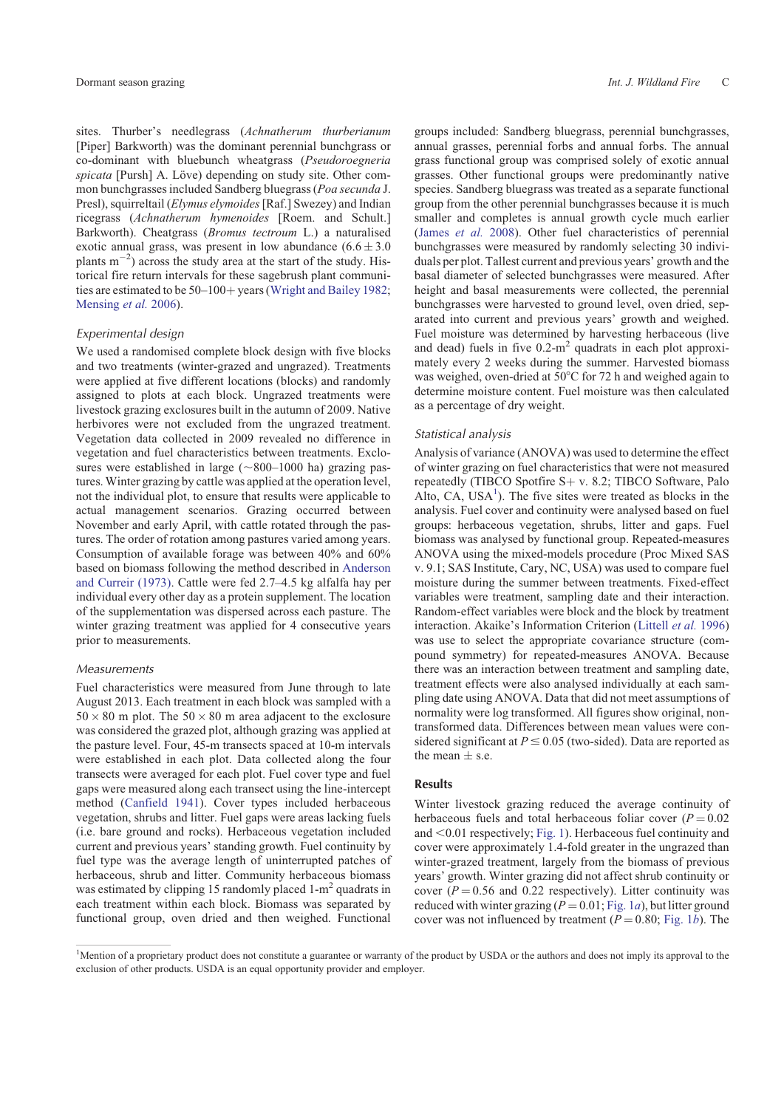sites. Thurber's needlegrass (*Achnatherum thurberianum* [Piper] Barkworth) was the dominant perennial bunchgrass or co-dominant with bluebunch wheatgrass (*Pseudoroegneria spicata* [Pursh] A. Löve) depending on study site. Other common bunchgrasses included Sandberg bluegrass (*Poa secunda* J. Presl), squirreltail (*Elymus elymoides*[Raf.] Swezey) and Indian ricegrass (*Achnatherum hymenoides* [Roem. and Schult.] Barkworth). Cheatgrass (*Bromus tectroum* L.) a naturalised exotic annual grass, was present in low abundance  $(6.6 \pm 3.0)$ plants  $m^{-2}$ ) across the study area at the start of the study. Historical fire return intervals for these sagebrush plant communities are estimated to be  $50-100+$  years [\(Wright and Bailey 1982](#page-7-0); [Mensing](#page-6-0) *et al.* 2006).

## Experimental design

We used a randomised complete block design with five blocks and two treatments (winter-grazed and ungrazed). Treatments were applied at five different locations (blocks) and randomly assigned to plots at each block. Ungrazed treatments were livestock grazing exclosures built in the autumn of 2009. Native herbivores were not excluded from the ungrazed treatment. Vegetation data collected in 2009 revealed no difference in vegetation and fuel characteristics between treatments. Exclosures were established in large  $(\sim 800-1000$  ha) grazing pastures. Winter grazing by cattle was applied at the operation level, not the individual plot, to ensure that results were applicable to actual management scenarios. Grazing occurred between November and early April, with cattle rotated through the pastures. The order of rotation among pastures varied among years. Consumption of available forage was between 40% and 60% based on biomass following the method described in [Anderson](#page-5-0) [and Curreir \(1973\).](#page-5-0) Cattle were fed 2.7–4.5 kg alfalfa hay per individual every other day as a protein supplement. The location of the supplementation was dispersed across each pasture. The winter grazing treatment was applied for 4 consecutive years prior to measurements.

## Measurements

Fuel characteristics were measured from June through to late August 2013. Each treatment in each block was sampled with a  $50 \times 80$  m plot. The  $50 \times 80$  m area adjacent to the exclosure was considered the grazed plot, although grazing was applied at the pasture level. Four, 45-m transects spaced at 10-m intervals were established in each plot. Data collected along the four transects were averaged for each plot. Fuel cover type and fuel gaps were measured along each transect using the line-intercept method ([Canfield 1941\)](#page-6-0). Cover types included herbaceous vegetation, shrubs and litter. Fuel gaps were areas lacking fuels (i.e. bare ground and rocks). Herbaceous vegetation included current and previous years' standing growth. Fuel continuity by fuel type was the average length of uninterrupted patches of herbaceous, shrub and litter. Community herbaceous biomass was estimated by clipping 15 randomly placed  $1-m^2$  quadrats in each treatment within each block. Biomass was separated by functional group, oven dried and then weighed. Functional

groups included: Sandberg bluegrass, perennial bunchgrasses, annual grasses, perennial forbs and annual forbs. The annual grass functional group was comprised solely of exotic annual grasses. Other functional groups were predominantly native species. Sandberg bluegrass was treated as a separate functional group from the other perennial bunchgrasses because it is much smaller and completes is annual growth cycle much earlier ([James](#page-6-0) *et al.* 2008). Other fuel characteristics of perennial bunchgrasses were measured by randomly selecting 30 individuals per plot. Tallest current and previous years' growth and the basal diameter of selected bunchgrasses were measured. After height and basal measurements were collected, the perennial bunchgrasses were harvested to ground level, oven dried, separated into current and previous years' growth and weighed. Fuel moisture was determined by harvesting herbaceous (live and dead) fuels in five  $0.2 \text{ m}^2$  quadrats in each plot approximately every 2 weeks during the summer. Harvested biomass was weighed, oven-dried at  $50^{\circ}$ C for 72 h and weighed again to determine moisture content. Fuel moisture was then calculated as a percentage of dry weight.

#### Statistical analysis

Analysis of variance (ANOVA) was used to determine the effect of winter grazing on fuel characteristics that were not measured repeatedly (TIBCO Spotfire  $S + v$ . 8.2; TIBCO Software, Palo Alto,  $CA$ ,  $USA<sup>1</sup>$ ). The five sites were treated as blocks in the analysis. Fuel cover and continuity were analysed based on fuel groups: herbaceous vegetation, shrubs, litter and gaps. Fuel biomass was analysed by functional group. Repeated-measures ANOVA using the mixed-models procedure (Proc Mixed SAS v. 9.1; SAS Institute, Cary, NC, USA) was used to compare fuel moisture during the summer between treatments. Fixed-effect variables were treatment, sampling date and their interaction. Random-effect variables were block and the block by treatment interaction. Akaike's Information Criterion ([Littell](#page-6-0) *et al.* 1996) was use to select the appropriate covariance structure (compound symmetry) for repeated-measures ANOVA. Because there was an interaction between treatment and sampling date, treatment effects were also analysed individually at each sampling date using ANOVA. Data that did not meet assumptions of normality were log transformed. All figures show original, nontransformed data. Differences between mean values were considered significant at  $P \le 0.05$  (two-sided). Data are reported as the mean  $\pm$  s.e.

# Results

Winter livestock grazing reduced the average continuity of herbaceous fuels and total herbaceous foliar cover  $(P = 0.02)$ and  $< 0.01$  respectively; [Fig. 1\)](#page-3-0). Herbaceous fuel continuity and cover were approximately 1.4-fold greater in the ungrazed than winter-grazed treatment, largely from the biomass of previous years' growth. Winter grazing did not affect shrub continuity or cover  $(P = 0.56$  and 0.22 respectively). Litter continuity was reduced with winter grazing  $(P = 0.01; Fig. 1a)$  $(P = 0.01; Fig. 1a)$  $(P = 0.01; Fig. 1a)$ , but litter ground cover was not influenced by treatment  $(P = 0.80;$  [Fig. 1](#page-3-0)*b*). The

<sup>&</sup>lt;sup>1</sup>Mention of a proprietary product does not constitute a guarantee or warranty of the product by USDA or the authors and does not imply its approval to the exclusion of other products. USDA is an equal opportunity provider and employer.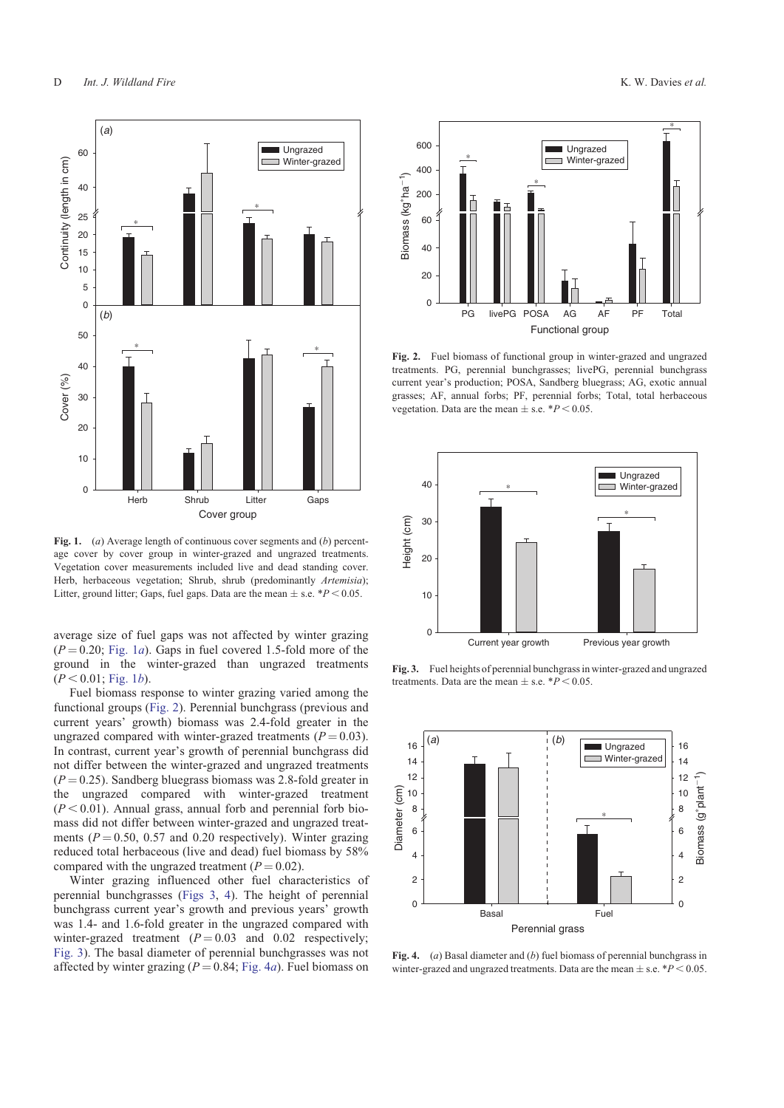<span id="page-3-0"></span>

**Fig. 1.** (*a*) Average length of continuous cover segments and (*b*) percentage cover by cover group in winter-grazed and ungrazed treatments. Vegetation cover measurements included live and dead standing cover. Herb, herbaceous vegetation; Shrub, shrub (predominantly *Artemisia*); Litter, ground litter; Gaps, fuel gaps. Data are the mean  $\pm$  s.e.  $*P < 0.05$ .

average size of fuel gaps was not affected by winter grazing  $(P = 0.20$ ; Fig. 1*a*). Gaps in fuel covered 1.5-fold more of the ground in the winter-grazed than ungrazed treatments  $(P < 0.01;$  Fig. 1*b*).

Fuel biomass response to winter grazing varied among the functional groups (Fig. 2). Perennial bunchgrass (previous and current years' growth) biomass was 2.4-fold greater in the ungrazed compared with winter-grazed treatments  $(P = 0.03)$ . In contrast, current year's growth of perennial bunchgrass did not differ between the winter-grazed and ungrazed treatments  $(P = 0.25)$ . Sandberg bluegrass biomass was 2.8-fold greater in the ungrazed compared with winter-grazed treatment ungrazed compared with winter-grazed treatment  $(P<0.01)$ . Annual grass, annual forb and perennial forb biomass did not differ between winter-grazed and ungrazed treatments  $(P = 0.50, 0.57, 0.20$  respectively). Winter grazing reduced total herbaceous (live and dead) fuel biomass by 58% compared with the ungrazed treatment  $(P = 0.02)$ .

Winter grazing influenced other fuel characteristics of perennial bunchgrasses (Figs 3, 4). The height of perennial bunchgrass current year's growth and previous years' growth was 1.4- and 1.6-fold greater in the ungrazed compared with winter-grazed treatment  $(P = 0.03$  and 0.02 respectively; Fig. 3). The basal diameter of perennial bunchgrasses was not



**Fig. 2.** Fuel biomass of functional group in winter-grazed and ungrazed treatments. PG, perennial bunchgrasses; livePG, perennial bunchgrass current year's production; POSA, Sandberg bluegrass; AG, exotic annual grasses; AF, annual forbs; PF, perennial forbs; Total, total herbaceous vegetation. Data are the mean  $\pm$  s.e.  $*P < 0.05$ .



**Fig. 3.** Fuel heights of perennial bunchgrass in winter-grazed and ungrazed treatments. Data are the mean  $\pm$  s.e.  $*P < 0.05$ .



**Fig. 4.** (*a*) Basal diameter and (*b*) fuel biomass of perennial bunchgrass in winter-grazed and ungrazed treatments. Data are the mean  $\pm$  s.e.  $*P < 0.05$ .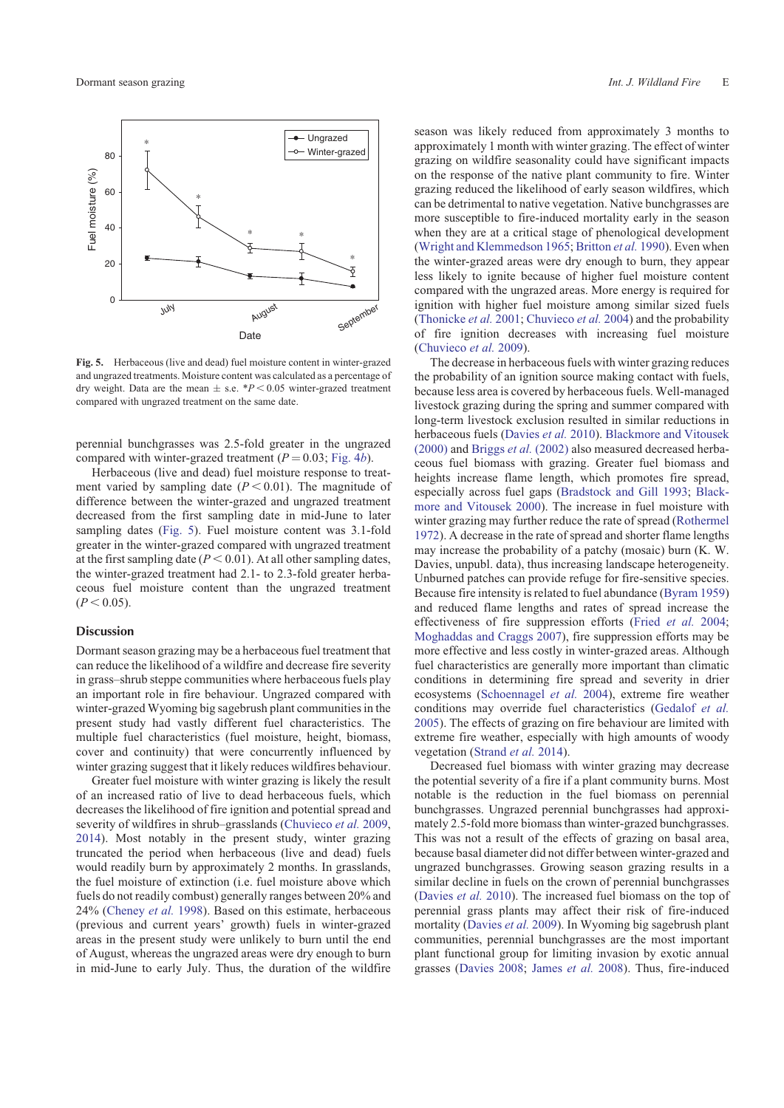

**Fig. 5.** Herbaceous (live and dead) fuel moisture content in winter-grazed and ungrazed treatments. Moisture content was calculated as a percentage of dry weight. Data are the mean  $\pm$  s.e.  $*P < 0.05$  winter-grazed treatment compared with ungrazed treatment on the same date.

perennial bunchgrasses was 2.5-fold greater in the ungrazed compared with winter-grazed treatment  $(P = 0.03; Fig. 4*b*).$  $(P = 0.03; Fig. 4*b*).$  $(P = 0.03; Fig. 4*b*).$ 

Herbaceous (live and dead) fuel moisture response to treatment varied by sampling date  $(P < 0.01)$ . The magnitude of difference between the winter-grazed and ungrazed treatment decreased from the first sampling date in mid-June to later sampling dates (Fig. 5). Fuel moisture content was 3.1-fold greater in the winter-grazed compared with ungrazed treatment at the first sampling date  $(P < 0.01)$ . At all other sampling dates, the winter-grazed treatment had 2.1- to 2.3-fold greater herbaceous fuel moisture content than the ungrazed treatment  $(P < 0.05)$ .

### **Discussion**

Dormant season grazing may be a herbaceous fuel treatment that can reduce the likelihood of a wildfire and decrease fire severity in grass–shrub steppe communities where herbaceous fuels play an important role in fire behaviour. Ungrazed compared with winter-grazed Wyoming big sagebrush plant communities in the present study had vastly different fuel characteristics. The multiple fuel characteristics (fuel moisture, height, biomass, cover and continuity) that were concurrently influenced by winter grazing suggest that it likely reduces wildfires behaviour.

Greater fuel moisture with winter grazing is likely the result of an increased ratio of live to dead herbaceous fuels, which decreases the likelihood of fire ignition and potential spread and severity of wildfires in shrub–grasslands [\(Chuvieco](#page-6-0) *et al.* 2009, [2014\)](#page-6-0). Most notably in the present study, winter grazing truncated the period when herbaceous (live and dead) fuels would readily burn by approximately 2 months. In grasslands, the fuel moisture of extinction (i.e. fuel moisture above which fuels do not readily combust) generally ranges between 20% and 24% [\(Cheney](#page-6-0) *et al.* 1998). Based on this estimate, herbaceous (previous and current years' growth) fuels in winter-grazed areas in the present study were unlikely to burn until the end of August, whereas the ungrazed areas were dry enough to burn in mid-June to early July. Thus, the duration of the wildfire season was likely reduced from approximately 3 months to approximately 1 month with winter grazing. The effect of winter grazing on wildfire seasonality could have significant impacts on the response of the native plant community to fire. Winter grazing reduced the likelihood of early season wildfires, which can be detrimental to native vegetation. Native bunchgrasses are more susceptible to fire-induced mortality early in the season when they are at a critical stage of phenological development ([Wright and Klemmedson 1965](#page-7-0); [Britton](#page-6-0) *et al.* 1990). Even when the winter-grazed areas were dry enough to burn, they appear less likely to ignite because of higher fuel moisture content compared with the ungrazed areas. More energy is required for ignition with higher fuel moisture among similar sized fuels ([Thonicke](#page-7-0) *et al.* 2001; [Chuvieco](#page-6-0) *et al.* 2004) and the probability of fire ignition decreases with increasing fuel moisture ([Chuvieco](#page-6-0) *et al.* 2009).

The decrease in herbaceous fuels with winter grazing reduces the probability of an ignition source making contact with fuels, because less area is covered by herbaceous fuels. Well-managed livestock grazing during the spring and summer compared with long-term livestock exclusion resulted in similar reductions in herbaceous fuels ([Davies](#page-6-0) *et al.* 2010). [Blackmore and Vitousek](#page-5-0) [\(2000\)](#page-5-0) and Briggs *et al.* [\(2002\)](#page-5-0) also measured decreased herbaceous fuel biomass with grazing. Greater fuel biomass and heights increase flame length, which promotes fire spread, especially across fuel gaps ([Bradstock and Gill 1993](#page-5-0); [Black](#page-5-0)[more and Vitousek 2000\)](#page-5-0). The increase in fuel moisture with winter grazing may further reduce the rate of spread ([Rothermel](#page-7-0) [1972\)](#page-7-0). A decrease in the rate of spread and shorter flame lengths may increase the probability of a patchy (mosaic) burn (K. W. Davies, unpubl. data), thus increasing landscape heterogeneity. Unburned patches can provide refuge for fire-sensitive species. Because fire intensity is related to fuel abundance [\(Byram 1959\)](#page-6-0) and reduced flame lengths and rates of spread increase the effectiveness of fire suppression efforts (Fried *[et al.](#page-6-0)* 2004; [Moghaddas and Craggs 2007\)](#page-6-0), fire suppression efforts may be more effective and less costly in winter-grazed areas. Although fuel characteristics are generally more important than climatic conditions in determining fire spread and severity in drier ecosystems [\(Schoennagel](#page-7-0) *et al.* 2004), extreme fire weather conditions may override fuel characteristics ([Gedalof](#page-6-0) *et al.* [2005\)](#page-6-0). The effects of grazing on fire behaviour are limited with extreme fire weather, especially with high amounts of woody vegetation [\(Strand](#page-7-0) *et al.* 2014).

Decreased fuel biomass with winter grazing may decrease the potential severity of a fire if a plant community burns. Most notable is the reduction in the fuel biomass on perennial bunchgrasses. Ungrazed perennial bunchgrasses had approximately 2.5-fold more biomass than winter-grazed bunchgrasses. This was not a result of the effects of grazing on basal area, because basal diameter did not differ between winter-grazed and ungrazed bunchgrasses. Growing season grazing results in a similar decline in fuels on the crown of perennial bunchgrasses ([Davies](#page-6-0) *et al.* 2010). The increased fuel biomass on the top of perennial grass plants may affect their risk of fire-induced mortality ([Davies](#page-6-0) *et al.* 2009). In Wyoming big sagebrush plant communities, perennial bunchgrasses are the most important plant functional group for limiting invasion by exotic annual grasses ([Davies 2008;](#page-6-0) [James](#page-6-0) *et al.* 2008). Thus, fire-induced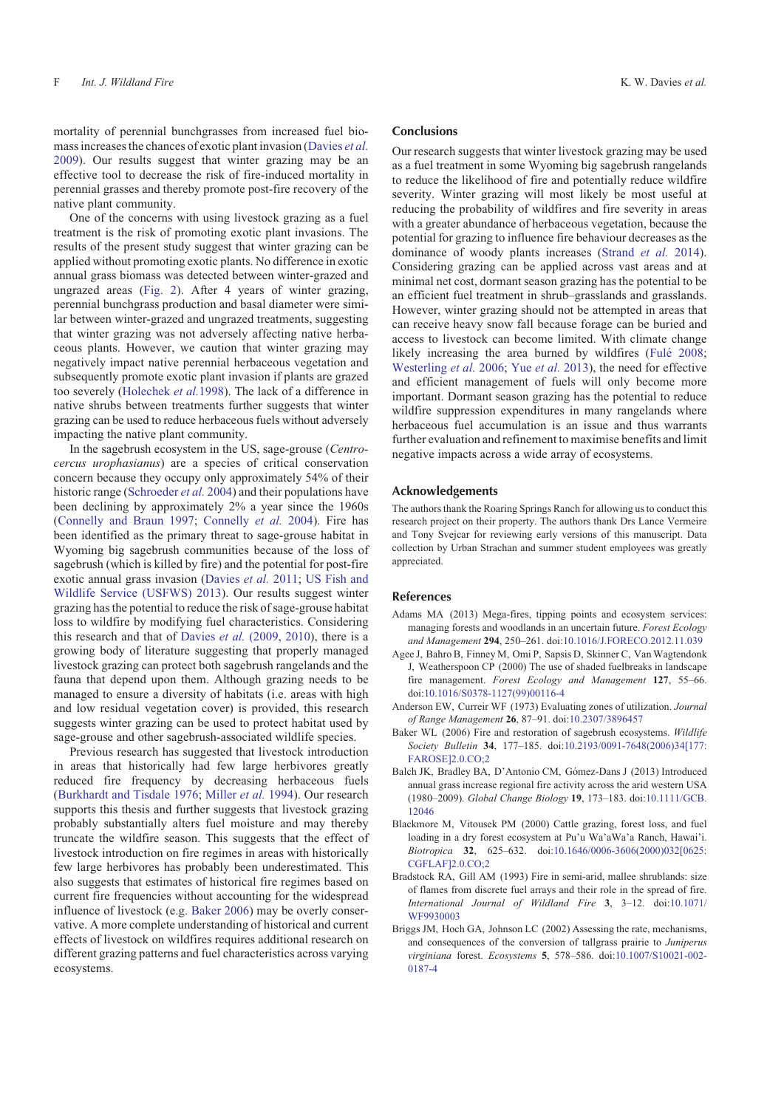<span id="page-5-0"></span>mortality of perennial bunchgrasses from increased fuel biomass increases the chances of exotic plant invasion ([Davies](#page-6-0) *et al.* [2009\)](#page-6-0). Our results suggest that winter grazing may be an effective tool to decrease the risk of fire-induced mortality in perennial grasses and thereby promote post-fire recovery of the native plant community.

One of the concerns with using livestock grazing as a fuel treatment is the risk of promoting exotic plant invasions. The results of the present study suggest that winter grazing can be applied without promoting exotic plants. No difference in exotic annual grass biomass was detected between winter-grazed and ungrazed areas [\(Fig. 2](#page-3-0)). After 4 years of winter grazing, perennial bunchgrass production and basal diameter were similar between winter-grazed and ungrazed treatments, suggesting that winter grazing was not adversely affecting native herbaceous plants. However, we caution that winter grazing may negatively impact native perennial herbaceous vegetation and subsequently promote exotic plant invasion if plants are grazed too severely ([Holechek](#page-6-0) *et al.*1998). The lack of a difference in native shrubs between treatments further suggests that winter grazing can be used to reduce herbaceous fuels without adversely impacting the native plant community.

In the sagebrush ecosystem in the US, sage-grouse (*Centrocercus urophasianus*) are a species of critical conservation concern because they occupy only approximately 54% of their historic range [\(Schroeder](#page-7-0) *et al.* 2004) and their populations have been declining by approximately 2% a year since the 1960s ([Connelly and Braun 1997;](#page-6-0) [Connelly](#page-6-0) *et al.* 2004). Fire has been identified as the primary threat to sage-grouse habitat in Wyoming big sagebrush communities because of the loss of sagebrush (which is killed by fire) and the potential for post-fire exotic annual grass invasion ([Davies](#page-6-0) *et al.* 2011; [US Fish and](#page-7-0) [Wildlife Service \(USFWS\) 2013](#page-7-0)). Our results suggest winter grazing has the potential to reduce the risk of sage-grouse habitat loss to wildfire by modifying fuel characteristics. Considering this research and that of [Davies](#page-6-0) *et al.* (2009, [2010\)](#page-6-0), there is a growing body of literature suggesting that properly managed livestock grazing can protect both sagebrush rangelands and the fauna that depend upon them. Although grazing needs to be managed to ensure a diversity of habitats (i.e. areas with high and low residual vegetation cover) is provided, this research suggests winter grazing can be used to protect habitat used by sage-grouse and other sagebrush-associated wildlife species.

Previous research has suggested that livestock introduction in areas that historically had few large herbivores greatly reduced fire frequency by decreasing herbaceous fuels ([Burkhardt and Tisdale 1976;](#page-6-0) [Miller](#page-6-0) *et al.* 1994). Our research supports this thesis and further suggests that livestock grazing probably substantially alters fuel moisture and may thereby truncate the wildfire season. This suggests that the effect of livestock introduction on fire regimes in areas with historically few large herbivores has probably been underestimated. This also suggests that estimates of historical fire regimes based on current fire frequencies without accounting for the widespread influence of livestock (e.g. Baker 2006) may be overly conservative. A more complete understanding of historical and current effects of livestock on wildfires requires additional research on different grazing patterns and fuel characteristics across varying ecosystems.

#### **Conclusions**

Our research suggests that winter livestock grazing may be used as a fuel treatment in some Wyoming big sagebrush rangelands to reduce the likelihood of fire and potentially reduce wildfire severity. Winter grazing will most likely be most useful at reducing the probability of wildfires and fire severity in areas with a greater abundance of herbaceous vegetation, because the potential for grazing to influence fire behaviour decreases as the dominance of woody plants increases [\(Strand](#page-7-0) *et al.* 2014). Considering grazing can be applied across vast areas and at minimal net cost, dormant season grazing has the potential to be an efficient fuel treatment in shrub–grasslands and grasslands. However, winter grazing should not be attempted in areas that can receive heavy snow fall because forage can be buried and access to livestock can become limited. With climate change likely increasing the area burned by wildfires (Fulé 2008; [Westerling](#page-7-0) *et al.* 2006; Yue *[et al.](#page-7-0)* 2013), the need for effective and efficient management of fuels will only become more important. Dormant season grazing has the potential to reduce wildfire suppression expenditures in many rangelands where herbaceous fuel accumulation is an issue and thus warrants further evaluation and refinement to maximise benefits and limit negative impacts across a wide array of ecosystems.

#### Acknowledgements

The authors thank the Roaring Springs Ranch for allowing us to conduct this research project on their property. The authors thank Drs Lance Vermeire and Tony Svejcar for reviewing early versions of this manuscript. Data collection by Urban Strachan and summer student employees was greatly appreciated.

#### References

- Adams MA (2013) Mega-fires, tipping points and ecosystem services: managing forests and woodlands in an uncertain future. *Forest Ecology and Management* **294**, 250–261. doi:[10.1016/J.FORECO.2012.11.039](http://dx.doi.org/10.1016/J.FORECO.2012.11.039)
- Agee J, Bahro B, Finney M, Omi P, Sapsis D, Skinner C, Van Wagtendonk J, Weatherspoon CP (2000) The use of shaded fuelbreaks in landscape fire management. *Forest Ecology and Management* **127**, 55–66. doi[:10.1016/S0378-1127\(99\)00116-4](http://dx.doi.org/10.1016/S0378-1127(99)00116-4)
- Anderson EW, Curreir WF (1973) Evaluating zones of utilization. *Journal of Range Management* **26**, 87–91. doi:[10.2307/3896457](http://dx.doi.org/10.2307/3896457)
- Baker WL (2006) Fire and restoration of sagebrush ecosystems. *Wildlife Society Bulletin* **34**, 177–185. doi:[10.2193/0091-7648\(2006\)34\[177:](http://dx.doi.org/10.2193/0091-7648(2006)34[177:FAROSE]2.0.CO;2) [FAROSE\]2.0.CO;2](http://dx.doi.org/10.2193/0091-7648(2006)34[177:FAROSE]2.0.CO;2)
- Balch JK, Bradley BA, D'Antonio CM, Gómez-Dans J (2013) Introduced annual grass increase regional fire activity across the arid western USA (1980–2009). *Global Change Biology* **19**, 173–183. doi:[10.1111/GCB.](http://dx.doi.org/10.1111/GCB.12046) [12046](http://dx.doi.org/10.1111/GCB.12046)
- Blackmore M, Vitousek PM (2000) Cattle grazing, forest loss, and fuel loading in a dry forest ecosystem at Pu'u Wa'aWa'a Ranch, Hawai'i. *Biotropica* **32**, 625–632. doi:[10.1646/0006-3606\(2000\)032\[0625:](http://dx.doi.org/10.1646/0006-3606(2000)032[0625:CGFLAF]2.0.CO;2) [CGFLAF\]2.0.CO;2](http://dx.doi.org/10.1646/0006-3606(2000)032[0625:CGFLAF]2.0.CO;2)
- Bradstock RA, Gill AM (1993) Fire in semi-arid, mallee shrublands: size of flames from discrete fuel arrays and their role in the spread of fire. *International Journal of Wildland Fire* **3**, 3–12. doi:[10.1071/](http://dx.doi.org/10.1071/WF9930003) [WF9930003](http://dx.doi.org/10.1071/WF9930003)
- Briggs JM, Hoch GA, Johnson LC (2002) Assessing the rate, mechanisms, and consequences of the conversion of tallgrass prairie to *Juniperus virginiana* forest. *Ecosystems* **5**, 578–586. doi[:10.1007/S10021-002-](http://dx.doi.org/10.1007/S10021-002-0187-4) [0187-4](http://dx.doi.org/10.1007/S10021-002-0187-4)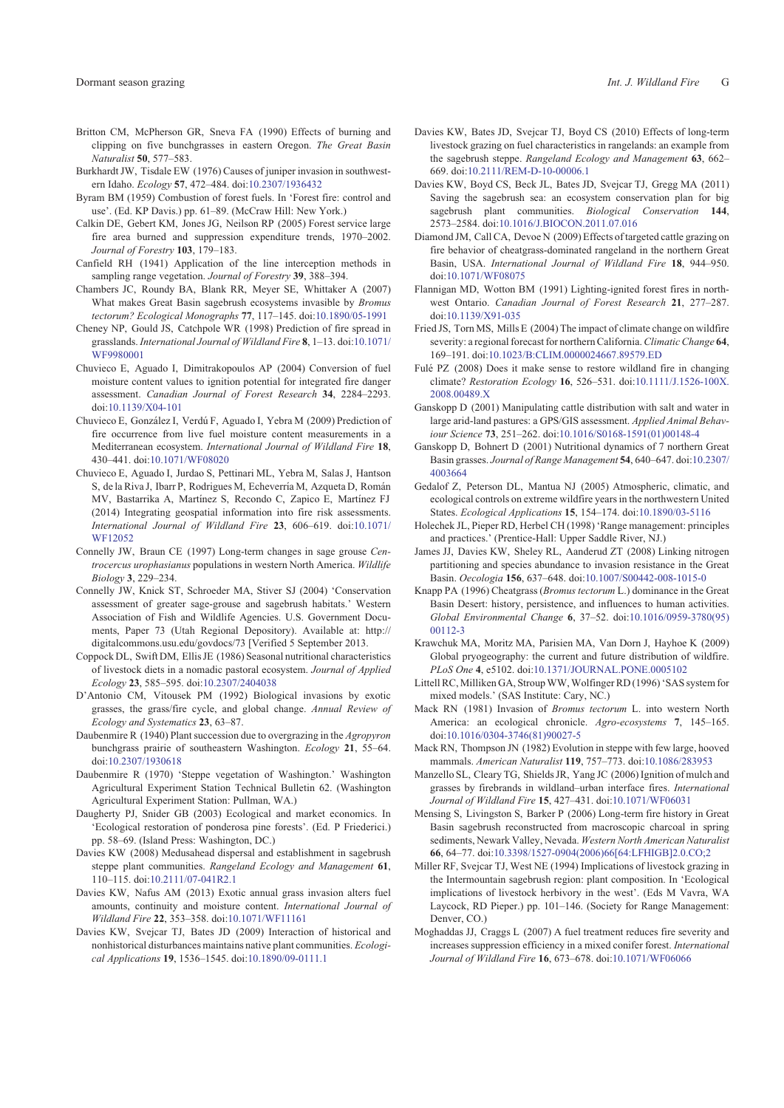- <span id="page-6-0"></span>Britton CM, McPherson GR, Sneva FA (1990) Effects of burning and clipping on five bunchgrasses in eastern Oregon. *The Great Basin*
- *Naturalist* **50**, 577–583. Burkhardt JW, Tisdale EW (1976) Causes of juniper invasion in southwestern Idaho. *Ecology* **57**, 472–484. doi:[10.2307/1936432](http://dx.doi.org/10.2307/1936432)
- Byram BM (1959) Combustion of forest fuels. In 'Forest fire: control and use'. (Ed. KP Davis.) pp. 61–89. (McCraw Hill: New York.)
- Calkin DE, Gebert KM, Jones JG, Neilson RP (2005) Forest service large fire area burned and suppression expenditure trends, 1970–2002. *Journal of Forestry* **103**, 179–183.
- Canfield RH (1941) Application of the line interception methods in sampling range vegetation. *Journal of Forestry* **39**, 388–394.
- Chambers JC, Roundy BA, Blank RR, Meyer SE, Whittaker A (2007) What makes Great Basin sagebrush ecosystems invasible by *Bromus tectorum? Ecological Monographs* **77**, 117–145. doi:[10.1890/05-1991](http://dx.doi.org/10.1890/05-1991)
- Cheney NP, Gould JS, Catchpole WR (1998) Prediction of fire spread in grasslands. *International Journal of Wildland Fire* **8**, 1–13. doi:[10.1071/](http://dx.doi.org/10.1071/WF9980001) [WF9980001](http://dx.doi.org/10.1071/WF9980001)
- Chuvieco E, Aguado I, Dimitrakopoulos AP (2004) Conversion of fuel moisture content values to ignition potential for integrated fire danger assessment. *Canadian Journal of Forest Research* **34**, 2284–2293. doi[:10.1139/X04-101](http://dx.doi.org/10.1139/X04-101)
- Chuvieco E, González I, Verdú F, Aguado I, Yebra M (2009) Prediction of fire occurrence from live fuel moisture content measurements in a Mediterranean ecosystem. *International Journal of Wildland Fire* **18**, 430–441. doi[:10.1071/WF08020](http://dx.doi.org/10.1071/WF08020)
- Chuvieco E, Aguado I, Jurdao S, Pettinari ML, Yebra M, Salas J, Hantson S, de la Riva J, Ibarr P, Rodrigues M, Echeverría M, Azqueta D, Román MV, Bastarrika A, Martínez S, Recondo C, Zapico E, Martínez FJ (2014) Integrating geospatial information into fire risk assessments. *International Journal of Wildland Fire* **23**, 606–619. doi:[10.1071/](http://dx.doi.org/10.1071/WF12052) [WF12052](http://dx.doi.org/10.1071/WF12052)
- Connelly JW, Braun CE (1997) Long-term changes in sage grouse *Centrocercus urophasianus* populations in western North America. *Wildlife Biology* **3**, 229–234.
- Connelly JW, Knick ST, Schroeder MA, Stiver SJ (2004) 'Conservation assessment of greater sage-grouse and sagebrush habitats.' Western Association of Fish and Wildlife Agencies. U.S. Government Documents, Paper 73 (Utah Regional Depository). Available at: [http://](http://digitalcommons.usu.edu/govdocs/73) [digitalcommons.usu.edu/govdocs/73](http://digitalcommons.usu.edu/govdocs/73) [Verified 5 September 2013.
- Coppock DL, Swift DM, Ellis JE (1986) Seasonal nutritional characteristics of livestock diets in a nomadic pastoral ecosystem. *Journal of Applied Ecology* **23**, 585–595. doi[:10.2307/2404038](http://dx.doi.org/10.2307/2404038)
- D'Antonio CM, Vitousek PM (1992) Biological invasions by exotic grasses, the grass/fire cycle, and global change. *Annual Review of Ecology and Systematics* **23**, 63–87.
- Daubenmire R (1940) Plant succession due to overgrazing in the *Agropyron* bunchgrass prairie of southeastern Washington. *Ecology* **21**, 55–64. doi[:10.2307/1930618](http://dx.doi.org/10.2307/1930618)
- Daubenmire R (1970) 'Steppe vegetation of Washington.' Washington Agricultural Experiment Station Technical Bulletin 62. (Washington Agricultural Experiment Station: Pullman, WA.)
- Daugherty PJ, Snider GB (2003) Ecological and market economics. In 'Ecological restoration of ponderosa pine forests'. (Ed. P Friederici.) pp. 58–69. (Island Press: Washington, DC.)
- Davies KW (2008) Medusahead dispersal and establishment in sagebrush steppe plant communities. *Rangeland Ecology and Management* **61**, 110–115. doi[:10.2111/07-041R2.1](http://dx.doi.org/10.2111/07-041R2.1)
- Davies KW, Nafus AM (2013) Exotic annual grass invasion alters fuel amounts, continuity and moisture content. *International Journal of Wildland Fire* **22**, 353–358. doi[:10.1071/WF11161](http://dx.doi.org/10.1071/WF11161)
- Davies KW, Svejcar TJ, Bates JD (2009) Interaction of historical and nonhistorical disturbances maintains native plant communities. *Ecological Applications* **19**, 1536–1545. doi[:10.1890/09-0111.1](http://dx.doi.org/10.1890/09-0111.1)
- Davies KW, Bates JD, Svejcar TJ, Boyd CS (2010) Effects of long-term livestock grazing on fuel characteristics in rangelands: an example from the sagebrush steppe. *Rangeland Ecology and Management* **63**, 662– 669. doi[:10.2111/REM-D-10-00006.1](http://dx.doi.org/10.2111/REM-D-10-00006.1)
- Davies KW, Boyd CS, Beck JL, Bates JD, Svejcar TJ, Gregg MA (2011) Saving the sagebrush sea: an ecosystem conservation plan for big sagebrush plant communities. *Biological Conservation* **144**, 2573–2584. doi[:10.1016/J.BIOCON.2011.07.016](http://dx.doi.org/10.1016/J.BIOCON.2011.07.016)
- Diamond JM, Call CA, Devoe N (2009) Effects of targeted cattle grazing on fire behavior of cheatgrass-dominated rangeland in the northern Great Basin, USA. *International Journal of Wildland Fire* **18**, 944–950. doi[:10.1071/WF08075](http://dx.doi.org/10.1071/WF08075)
- Flannigan MD, Wotton BM (1991) Lighting-ignited forest fires in northwest Ontario. *Canadian Journal of Forest Research* **21**, 277–287. doi[:10.1139/X91-035](http://dx.doi.org/10.1139/X91-035)
- Fried JS, Torn MS, Mills E (2004) The impact of climate change on wildfire severity: a regional forecast for northern California.*Climatic Change* **64**, 169–191. doi[:10.1023/B:CLIM.0000024667.89579.ED](http://dx.doi.org/10.1023/B:CLIM.0000024667.89579.ED)
- Fulé PZ (2008) Does it make sense to restore wildland fire in changing climate? *Restoration Ecology* **16**, 526–531. doi:[10.1111/J.1526-100X.](http://dx.doi.org/10.1111/J.1526-100X.2008.00489.X) [2008.00489.X](http://dx.doi.org/10.1111/J.1526-100X.2008.00489.X)
- Ganskopp D (2001) Manipulating cattle distribution with salt and water in large arid-land pastures: a GPS/GIS assessment. *Applied Animal Behaviour Science* **73**, 251–262. doi:[10.1016/S0168-1591\(01\)00148-4](http://dx.doi.org/10.1016/S0168-1591(01)00148-4)
- Ganskopp D, Bohnert D (2001) Nutritional dynamics of 7 northern Great Basin grasses. *Journal of Range Management* **54**, 640–647. doi:[10.2307/](http://dx.doi.org/10.2307/4003664) [4003664](http://dx.doi.org/10.2307/4003664)
- Gedalof Z, Peterson DL, Mantua NJ (2005) Atmospheric, climatic, and ecological controls on extreme wildfire years in the northwestern United States. *Ecological Applications* **15**, 154–174. doi[:10.1890/03-5116](http://dx.doi.org/10.1890/03-5116)
- Holechek JL, Pieper RD, Herbel CH (1998) 'Range management: principles and practices.' (Prentice-Hall: Upper Saddle River, NJ.)
- James JJ, Davies KW, Sheley RL, Aanderud ZT (2008) Linking nitrogen partitioning and species abundance to invasion resistance in the Great Basin. *Oecologia* **<sup>156</sup>**, 637–648. doi:[10.1007/S00442-008-1015-0](http://dx.doi.org/10.1007/S00442-008-1015-0)
- Knapp PA (1996) Cheatgrass (*Bromus tectorum* L.) dominance in the Great Basin Desert: history, persistence, and influences to human activities. *Global Environmental Change* **6**, 37–52. doi[:10.1016/0959-3780\(95\)](http://dx.doi.org/10.1016/0959-3780(95)00112-3) [00112-3](http://dx.doi.org/10.1016/0959-3780(95)00112-3)
- Krawchuk MA, Moritz MA, Parisien MA, Van Dorn J, Hayhoe K (2009) Global pryogeography: the current and future distribution of wildfire. *PLoS One* **4**, e5102. doi[:10.1371/JOURNAL.PONE.0005102](http://dx.doi.org/10.1371/JOURNAL.PONE.0005102)
- Littell RC, Milliken GA, Stroup WW, Wolfinger RD (1996) 'SAS system for mixed models.' (SAS Institute: Cary, NC.)
- Mack RN (1981) Invasion of *Bromus tectorum* L. into western North America: an ecological chronicle. *Agro-ecosystems* **7**, 145–165. doi[:10.1016/0304-3746\(81\)90027-5](http://dx.doi.org/10.1016/0304-3746(81)90027-5)
- Mack RN, Thompson JN (1982) Evolution in steppe with few large, hooved mammals. *American Naturalist* **119**, 757–773. doi:[10.1086/283953](http://dx.doi.org/10.1086/283953)
- Manzello SL, Cleary TG, Shields JR, Yang JC (2006) Ignition of mulch and grasses by firebrands in wildland–urban interface fires. *International Journal of Wildland Fire* **15**, 427–431. doi[:10.1071/WF06031](http://dx.doi.org/10.1071/WF06031)
- Mensing S, Livingston S, Barker P (2006) Long-term fire history in Great Basin sagebrush reconstructed from macroscopic charcoal in spring sediments, Newark Valley, Nevada. *Western North American Naturalist* **66**, 64–77. doi[:10.3398/1527-0904\(2006\)66\[64:LFHIGB\]2.0.CO;2](http://dx.doi.org/10.3398/1527-0904(2006)66[64:LFHIGB]2.0.CO;2)
- Miller RF, Svejcar TJ, West NE (1994) Implications of livestock grazing in the Intermountain sagebrush region: plant composition. In 'Ecological implications of livestock herbivory in the west'. (Eds M Vavra, WA Laycock, RD Pieper.) pp. 101–146. (Society for Range Management: Denver, CO.)
- Moghaddas JJ, Craggs L (2007) A fuel treatment reduces fire severity and increases suppression efficiency in a mixed conifer forest. *International Journal of Wildland Fire* **16**, 673–678. doi[:10.1071/WF06066](http://dx.doi.org/10.1071/WF06066)